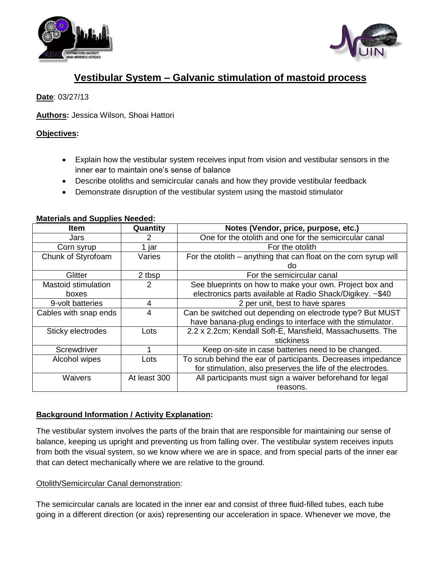



# **Vestibular System – Galvanic stimulation of mastoid process**

# **Date**: 03/27/13

**Authors:** Jessica Wilson, Shoai Hattori

## **Objectives:**

- Explain how the vestibular system receives input from vision and vestibular sensors in the inner ear to maintain one's sense of balance
- Describe otoliths and semicircular canals and how they provide vestibular feedback
- Demonstrate disruption of the vestibular system using the mastoid stimulator

#### **Materials and Supplies Needed:**

| <b>Item</b>                | Quantity     | Notes (Vendor, price, purpose, etc.)                             |
|----------------------------|--------------|------------------------------------------------------------------|
| Jars                       | 2            | One for the otolith and one for the semicircular canal           |
| Corn syrup                 | 1 jar        | For the otolith                                                  |
| Chunk of Styrofoam         | Varies       | For the otolith - anything that can float on the corn syrup will |
|                            |              | do                                                               |
| Glitter                    | 2 tbsp       | For the semicircular canal                                       |
| <b>Mastoid stimulation</b> | 2            | See blueprints on how to make your own. Project box and          |
| boxes                      |              | electronics parts available at Radio Shack/Digikey. ~\$40        |
| 9-volt batteries           | 4            | 2 per unit, best to have spares                                  |
| Cables with snap ends      | 4            | Can be switched out depending on electrode type? But MUST        |
|                            |              | have banana-plug endings to interface with the stimulator.       |
| Sticky electrodes          | Lots         | 2.2 x 2.2cm; Kendall Soft-E, Mansfield, Massachusetts. The       |
|                            |              | stickiness                                                       |
| Screwdriver                |              | Keep on-site in case batteries need to be changed.               |
| Alcohol wipes              | Lots         | To scrub behind the ear of participants. Decreases impedance     |
|                            |              | for stimulation, also preserves the life of the electrodes.      |
| Waivers                    | At least 300 | All participants must sign a waiver beforehand for legal         |
|                            |              | reasons.                                                         |

## **Background Information / Activity Explanation:**

The vestibular system involves the parts of the brain that are responsible for maintaining our sense of balance, keeping us upright and preventing us from falling over. The vestibular system receives inputs from both the visual system, so we know where we are in space, and from special parts of the inner ear that can detect mechanically where we are relative to the ground.

#### Otolith/Semicircular Canal demonstration:

The semicircular canals are located in the inner ear and consist of three fluid-filled tubes, each tube going in a different direction (or axis) representing our acceleration in space. Whenever we move, the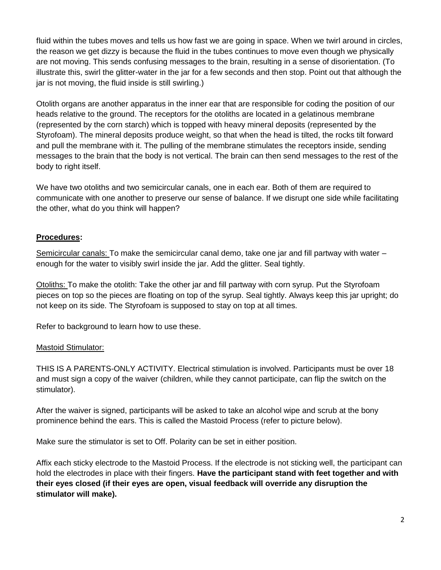fluid within the tubes moves and tells us how fast we are going in space. When we twirl around in circles, the reason we get dizzy is because the fluid in the tubes continues to move even though we physically are not moving. This sends confusing messages to the brain, resulting in a sense of disorientation. (To illustrate this, swirl the glitter-water in the jar for a few seconds and then stop. Point out that although the jar is not moving, the fluid inside is still swirling.)

Otolith organs are another apparatus in the inner ear that are responsible for coding the position of our heads relative to the ground. The receptors for the otoliths are located in a gelatinous membrane (represented by the corn starch) which is topped with heavy mineral deposits (represented by the Styrofoam). The mineral deposits produce weight, so that when the head is tilted, the rocks tilt forward and pull the membrane with it. The pulling of the membrane stimulates the receptors inside, sending messages to the brain that the body is not vertical. The brain can then send messages to the rest of the body to right itself.

We have two otoliths and two semicircular canals, one in each ear. Both of them are required to communicate with one another to preserve our sense of balance. If we disrupt one side while facilitating the other, what do you think will happen?

## **Procedures:**

Semicircular canals: To make the semicircular canal demo, take one jar and fill partway with water – enough for the water to visibly swirl inside the jar. Add the glitter. Seal tightly.

Otoliths: To make the otolith: Take the other jar and fill partway with corn syrup. Put the Styrofoam pieces on top so the pieces are floating on top of the syrup. Seal tightly. Always keep this jar upright; do not keep on its side. The Styrofoam is supposed to stay on top at all times.

Refer to background to learn how to use these.

#### Mastoid Stimulator:

THIS IS A PARENTS-ONLY ACTIVITY. Electrical stimulation is involved. Participants must be over 18 and must sign a copy of the waiver (children, while they cannot participate, can flip the switch on the stimulator).

After the waiver is signed, participants will be asked to take an alcohol wipe and scrub at the bony prominence behind the ears. This is called the Mastoid Process (refer to picture below).

Make sure the stimulator is set to Off. Polarity can be set in either position.

Affix each sticky electrode to the Mastoid Process. If the electrode is not sticking well, the participant can hold the electrodes in place with their fingers. **Have the participant stand with feet together and with their eyes closed (if their eyes are open, visual feedback will override any disruption the stimulator will make).**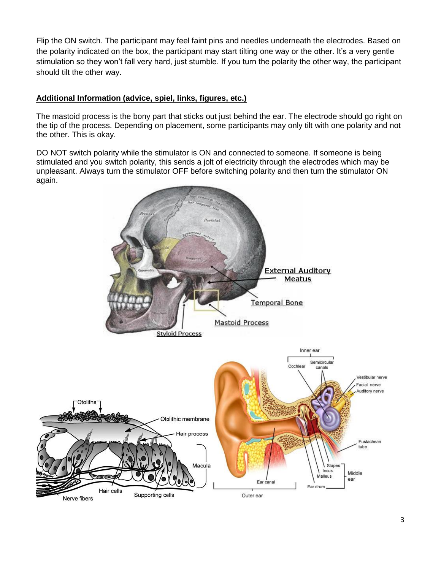Flip the ON switch. The participant may feel faint pins and needles underneath the electrodes. Based on the polarity indicated on the box, the participant may start tilting one way or the other. It's a very gentle stimulation so they won't fall very hard, just stumble. If you turn the polarity the other way, the participant should tilt the other way.

#### **Additional Information (advice, spiel, links, figures, etc.)**

The mastoid process is the bony part that sticks out just behind the ear. The electrode should go right on the tip of the process. Depending on placement, some participants may only tilt with one polarity and not the other. This is okay.

DO NOT switch polarity while the stimulator is ON and connected to someone. If someone is being stimulated and you switch polarity, this sends a jolt of electricity through the electrodes which may be unpleasant. Always turn the stimulator OFF before switching polarity and then turn the stimulator ON again.

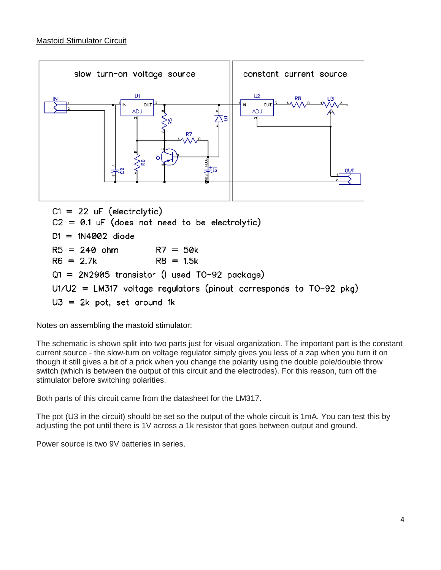

Notes on assembling the mastoid stimulator:

The schematic is shown split into two parts just for visual organization. The important part is the constant current source - the slow-turn on voltage regulator simply gives you less of a zap when you turn it on though it still gives a bit of a prick when you change the polarity using the double pole/double throw switch (which is between the output of this circuit and the electrodes). For this reason, turn off the stimulator before switching polarities.

Both parts of this circuit came from the datasheet for the LM317.

The pot (U3 in the circuit) should be set so the output of the whole circuit is 1mA. You can test this by adjusting the pot until there is 1V across a 1k resistor that goes between output and ground.

Power source is two 9V batteries in series.